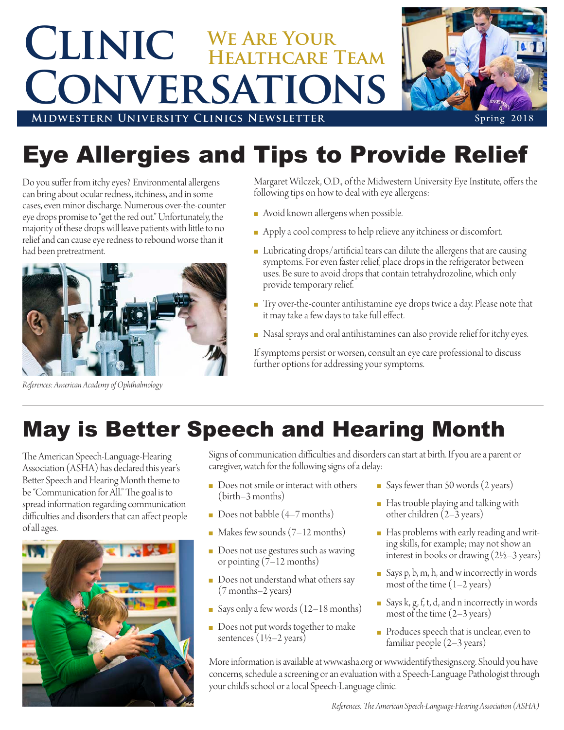## **Clinic We Are Your Conversations Healthcare Team**



**MIDWESTERN UNIVERSITY CLINICS NEWSLETTER** Spring 2018

## Eye Allergies and Tips to Provide Relief

Do you suffer from itchy eyes? Environmental allergens can bring about ocular redness, itchiness, and in some cases, even minor discharge. Numerous over-the-counter eye drops promise to "get the red out." Unfortunately, the majority of these drops will leave patients with little to no relief and can cause eye redness to rebound worse than it had been pretreatment.



Margaret Wilczek, O.D., of the Midwestern University Eye Institute, offers the following tips on how to deal with eye allergens:

- **n** Avoid known allergens when possible.
- Apply a cool compress to help relieve any itchiness or discomfort.
- Lubricating drops/artificial tears can dilute the allergens that are causing symptoms. For even faster relief, place drops in the refrigerator between uses. Be sure to avoid drops that contain tetrahydrozoline, which only provide temporary relief.
- Try over-the-counter antihistamine eye drops twice a day. Please note that it may take a few days to take full effect.
- n Nasal sprays and oral antihistamines can also provide relief for itchy eyes.

If symptoms persist or worsen, consult an eye care professional to discuss further options for addressing your symptoms.

May is Better Speech and Hearing Month

The American Speech-Language-Hearing Association (ASHA) has declared this year's Better Speech and Hearing Month theme to be "Communication for All." The goal is to spread information regarding communication difficulties and disorders that can affect people of all ages.

*References: American Academy of Ophthalmology*



Signs of communication difficulties and disorders can start at birth. If you are a parent or caregiver, watch for the following signs of a delay:

- Does not smile or interact with others (birth–3 months)
- Does not babble  $(4-7$  months)
- Makes few sounds  $(7-12$  months)
- Does not use gestures such as waving or pointing (7–12 months)
- $\blacksquare$  Does not understand what others say (7 months–2 years)
- Says only a few words  $(12-18$  months)
- Does not put words together to make sentences  $(1\frac{1}{2}-2 \text{ years})$
- Says fewer than 50 words  $(2 \text{ years})$
- **n** Has trouble playing and talking with other children (2–3 years)
- Has problems with early reading and writing skills, for example; may not show an interest in books or drawing  $(2\frac{1}{2}-3$  years)
- <sup>n</sup> Says p, b, m, h, and w incorrectly in words most of the time  $(1-2 \text{ years})$
- Says k, g, f, t, d, and n incorrectly in words most of the time  $(2-3 \text{ years})$
- n Produces speech that is unclear, even to familiar people (2–3 years)

More information is available at www.asha.org or www.identifythesigns.org. Should you have concerns, schedule a screening or an evaluation with a Speech-Language Pathologist through your child's school or a local Speech-Language clinic.